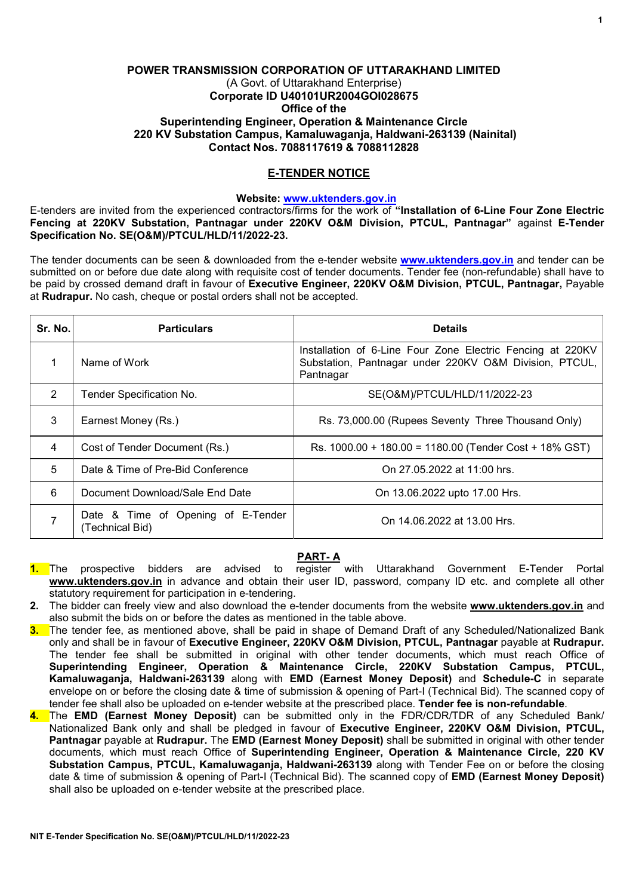## POWER TRANSMISSION CORPORATION OF UTTARAKHAND LIMITED (A Govt. of Uttarakhand Enterprise) Corporate ID U40101UR2004GOI028675 Office of the Superintending Engineer, Operation & Maintenance Circle 220 KV Substation Campus, Kamaluwaganja, Haldwani-263139 (Nainital) Contact Nos. 7088117619 & 7088112828

# E-TENDER NOTICE

### Website: www.uktenders.gov.in

E-tenders are invited from the experienced contractors/firms for the work of "Installation of 6-Line Four Zone Electric Fencing at 220KV Substation, Pantnagar under 220KV O&M Division, PTCUL, Pantnagar" against E-Tender Specification No. SE(O&M)/PTCUL/HLD/11/2022-23.

The tender documents can be seen & downloaded from the e-tender website www.uktenders.gov.in and tender can be submitted on or before due date along with requisite cost of tender documents. Tender fee (non-refundable) shall have to be paid by crossed demand draft in favour of Executive Engineer, 220KV O&M Division, PTCUL, Pantnagar, Payable at Rudrapur. No cash, cheque or postal orders shall not be accepted.

| Sr. No.        | <b>Particulars</b>                                    | <b>Details</b>                                                                                                                    |
|----------------|-------------------------------------------------------|-----------------------------------------------------------------------------------------------------------------------------------|
| 1              | Name of Work                                          | Installation of 6-Line Four Zone Electric Fencing at 220KV<br>Substation, Pantnagar under 220KV O&M Division, PTCUL,<br>Pantnagar |
| $\overline{2}$ | Tender Specification No.                              | SE(O&M)/PTCUL/HLD/11/2022-23                                                                                                      |
| 3              | Earnest Money (Rs.)                                   | Rs. 73,000.00 (Rupees Seventy Three Thousand Only)                                                                                |
| 4              | Cost of Tender Document (Rs.)                         | Rs. 1000.00 + 180.00 = 1180.00 (Tender Cost + 18% GST)                                                                            |
| 5              | Date & Time of Pre-Bid Conference                     | On 27.05.2022 at 11:00 hrs.                                                                                                       |
| 6              | Document Download/Sale End Date                       | On 13.06.2022 upto 17.00 Hrs.                                                                                                     |
|                | Date & Time of Opening of E-Tender<br>(Technical Bid) | On 14.06.2022 at 13.00 Hrs.                                                                                                       |

# PART- A

- 1. The prospective bidders are advised to register with Uttarakhand Government E-Tender Portal www.uktenders.gov.in in advance and obtain their user ID, password, company ID etc. and complete all other statutory requirement for participation in e-tendering.
- 2. The bidder can freely view and also download the e-tender documents from the website www.uktenders.gov.in and also submit the bids on or before the dates as mentioned in the table above.
- 3. The tender fee, as mentioned above, shall be paid in shape of Demand Draft of any Scheduled/Nationalized Bank only and shall be in favour of Executive Engineer, 220KV O&M Division, PTCUL, Pantnagar payable at Rudrapur. The tender fee shall be submitted in original with other tender documents, which must reach Office of Superintending Engineer, Operation & Maintenance Circle, 220KV Substation Campus, PTCUL, Kamaluwaganja, Haldwani-263139 along with EMD (Earnest Money Deposit) and Schedule-C in separate envelope on or before the closing date & time of submission & opening of Part-I (Technical Bid). The scanned copy of tender fee shall also be uploaded on e-tender website at the prescribed place. Tender fee is non-refundable.
- 4. The EMD (Earnest Money Deposit) can be submitted only in the FDR/CDR/TDR of any Scheduled Bank/ Nationalized Bank only and shall be pledged in favour of Executive Engineer, 220KV O&M Division, PTCUL, Pantnagar payable at Rudrapur. The EMD (Earnest Money Deposit) shall be submitted in original with other tender documents, which must reach Office of Superintending Engineer, Operation & Maintenance Circle, 220 KV Substation Campus, PTCUL, Kamaluwagania, Haldwani-263139 along with Tender Fee on or before the closing date & time of submission & opening of Part-I (Technical Bid). The scanned copy of EMD (Earnest Money Deposit) shall also be uploaded on e-tender website at the prescribed place.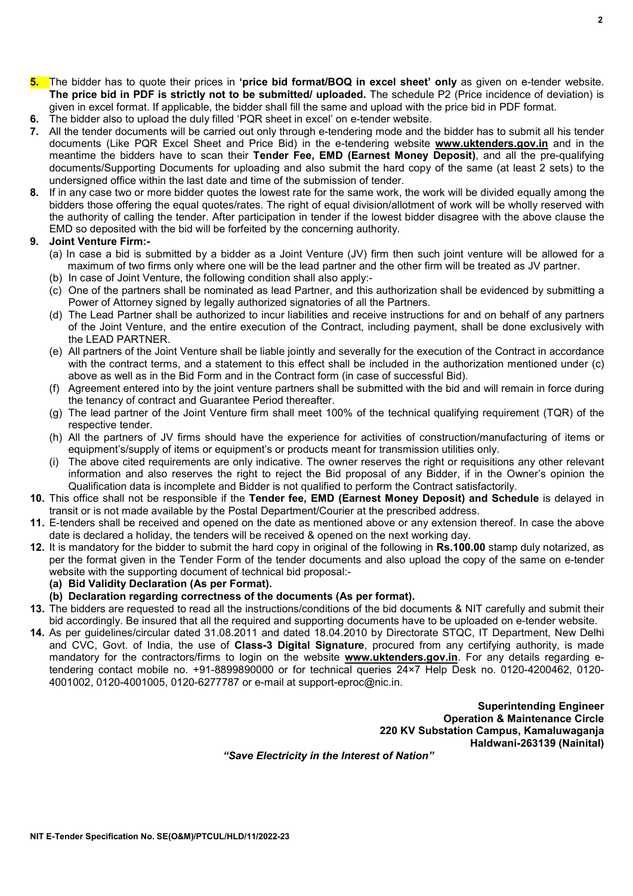- 5. The bidder has to quote their prices in 'price bid format/BOQ in excel sheet' only as given on e-tender website. The price bid in PDF is strictly not to be submitted/ uploaded. The schedule P2 (Price incidence of deviation) is given in excel format. If applicable, the bidder shall fill the same and upload with the price bid in PDF format.
- 6. The bidder also to upload the duly filled 'PQR sheet in excel' on e-tender website.
- 7. All the tender documents will be carried out only through e-tendering mode and the bidder has to submit all his tender documents (Like PQR Excel Sheet and Price Bid) in the e-tendering website www.uktenders.gov.in and in the meantime the bidders have to scan their Tender Fee, EMD (Earnest Money Deposit), and all the pre-qualifying documents/Supporting Documents for uploading and also submit the hard copy of the same (at least 2 sets) to the undersigned office within the last date and time of the submission of tender.
- 8. If in any case two or more bidder quotes the lowest rate for the same work, the work will be divided equally among the bidders those offering the equal quotes/rates. The right of equal division/allotment of work will be wholly reserved with the authority of calling the tender. After participation in tender if the lowest bidder disagree with the above clause the EMD so deposited with the bid will be forfeited by the concerning authority.

#### 9. Joint Venture Firm:-

- (a) In case a bid is submitted by a bidder as a Joint Venture (JV) firm then such joint venture will be allowed for a maximum of two firms only where one will be the lead partner and the other firm will be treated as JV partner.
- (b) In case of Joint Venture, the following condition shall also apply:-
- (c) One of the partners shall be nominated as lead Partner, and this authorization shall be evidenced by submitting a Power of Attorney signed by legally authorized signatories of all the Partners.
- (d) The Lead Partner shall be authorized to incur liabilities and receive instructions for and on behalf of any partners of the Joint Venture, and the entire execution of the Contract, including payment, shall be done exclusively with the LEAD PARTNER.
- (e) All partners of the Joint Venture shall be liable jointly and severally for the execution of the Contract in accordance with the contract terms, and a statement to this effect shall be included in the authorization mentioned under (c) above as well as in the Bid Form and in the Contract form (in case of successful Bid).
- (f) Agreement entered into by the joint venture partners shall be submitted with the bid and will remain in force during the tenancy of contract and Guarantee Period thereafter.
- (g) The lead partner of the Joint Venture firm shall meet 100% of the technical qualifying requirement (TQR) of the respective tender.
- (h) All the partners of JV firms should have the experience for activities of construction/manufacturing of items or equipment's/supply of items or equipment's or products meant for transmission utilities only.
- (i) The above cited requirements are only indicative. The owner reserves the right or requisitions any other relevant information and also reserves the right to reject the Bid proposal of any Bidder, if in the Owner's opinion the Qualification data is incomplete and Bidder is not qualified to perform the Contract satisfactorily.
- 10. This office shall not be responsible if the Tender fee, EMD (Earnest Money Deposit) and Schedule is delayed in transit or is not made available by the Postal Department/Courier at the prescribed address.
- 11. E-tenders shall be received and opened on the date as mentioned above or any extension thereof. In case the above date is declared a holiday, the tenders will be received & opened on the next working day.
- 12. It is mandatory for the bidder to submit the hard copy in original of the following in Rs.100.00 stamp duly notarized, as per the format given in the Tender Form of the tender documents and also upload the copy of the same on e-tender website with the supporting document of technical bid proposal:-

#### (a) Bid Validity Declaration (As per Format).

- (b) Declaration regarding correctness of the documents (As per format).
- 13. The bidders are requested to read all the instructions/conditions of the bid documents & NIT carefully and submit their bid accordingly. Be insured that all the required and supporting documents have to be uploaded on e-tender website.
- 14. As per guidelines/circular dated 31.08.2011 and dated 18.04.2010 by Directorate STQC, IT Department, New Delhi and CVC, Govt. of India, the use of **Class-3 Digital Signature**, procured from any certifying authority, is made mandatory for the contractors/firms to login on the website www.uktenders.gov.in. For any details regarding etendering contact mobile no. +91-8899890000 or for technical queries 24×7 Help Desk no. 0120-4200462, 0120- 4001002, 0120-4001005, 0120-6277787 or e-mail at support-eproc@nic.in.

Superintending Engineer Operation & Maintenance Circle 220 KV Substation Campus, Kamaluwaganja Haldwani-263139 (Nainital)

"Save Electricity in the Interest of Nation"